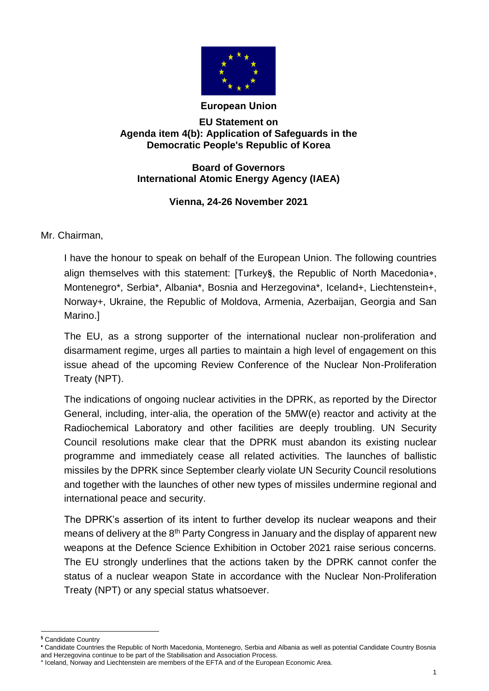

## **European Union**

## **EU Statement on Agenda item 4(b): Application of Safeguards in the Democratic People's Republic of Korea**

**Board of Governors International Atomic Energy Agency (IAEA)**

## **Vienna, 24-26 November 2021**

Mr. Chairman,

I have the honour to speak on behalf of the European Union. The following countries align themselves with this statement: [Turkey<sup>§</sup>, the Republic of North Macedonia\*, Montenegro\*, Serbia\*, Albania\*, Bosnia and Herzegovina\*, Iceland+, Liechtenstein+, Norway+, Ukraine, the Republic of Moldova, Armenia, Azerbaijan, Georgia and San Marino.]

The EU, as a strong supporter of the international nuclear non-proliferation and disarmament regime, urges all parties to maintain a high level of engagement on this issue ahead of the upcoming Review Conference of the Nuclear Non-Proliferation Treaty (NPT).

The indications of ongoing nuclear activities in the DPRK, as reported by the Director General, including, inter-alia, the operation of the 5MW(e) reactor and activity at the Radiochemical Laboratory and other facilities are deeply troubling. UN Security Council resolutions make clear that the DPRK must abandon its existing nuclear programme and immediately cease all related activities. The launches of ballistic missiles by the DPRK since September clearly violate UN Security Council resolutions and together with the launches of other new types of missiles undermine regional and international peace and security.

The DPRK's assertion of its intent to further develop its nuclear weapons and their means of delivery at the 8<sup>th</sup> Party Congress in January and the display of apparent new weapons at the Defence Science Exhibition in October 2021 raise serious concerns. The EU strongly underlines that the actions taken by the DPRK cannot confer the status of a nuclear weapon State in accordance with the Nuclear Non-Proliferation Treaty (NPT) or any special status whatsoever.

 $\overline{a}$ **§** Candidate Country

Candidate Countries the Republic of North Macedonia, Montenegro, Serbia and Albania as well as potential Candidate Country Bosnia and Herzegovina continue to be part of the Stabilisation and Association Process.

**<sup>+</sup>** Iceland, Norway and Liechtenstein are members of the EFTA and of the European Economic Area.